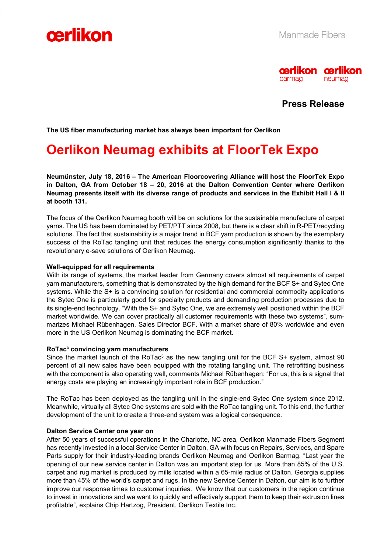



**Press Release** 

**The US fiber manufacturing market has always been important for Oerlikon** 

# **Oerlikon Neumag exhibits at FloorTek Expo**

**Neumünster, July 18, 2016 – The American Floorcovering Alliance will host the FloorTek Expo in Dalton, GA from October 18 – 20, 2016 at the Dalton Convention Center where Oerlikon Neumag presents itself with its diverse range of products and services in the Exhibit Hall I & II at booth 131.** 

The focus of the Oerlikon Neumag booth will be on solutions for the sustainable manufacture of carpet yarns. The US has been dominated by PET/PTT since 2008, but there is a clear shift in R-PET/recycling solutions. The fact that sustainability is a major trend in BCF yarn production is shown by the exemplary success of the RoTac tangling unit that reduces the energy consumption significantly thanks to the revolutionary e-save solutions of Oerlikon Neumag.

## **Well-equipped for all requirements**

With its range of systems, the market leader from Germany covers almost all requirements of carpet yarn manufacturers, something that is demonstrated by the high demand for the BCF S+ and Sytec One systems. While the S+ is a convincing solution for residential and commercial commodity applications the Sytec One is particularly good for specialty products and demanding production processes due to its single-end technology. "With the S+ and Sytec One, we are extremely well positioned within the BCF market worldwide. We can cover practically all customer requirements with these two systems", summarizes Michael Rübenhagen, Sales Director BCF. With a market share of 80% worldwide and even more in the US Oerlikon Neumag is dominating the BCF market.

## **RoTac³ convincing yarn manufacturers**

Since the market launch of the RoTac<sup>3</sup> as the new tangling unit for the BCF S+ system, almost 90 percent of all new sales have been equipped with the rotating tangling unit. The retrofitting business with the component is also operating well, comments Michael Rübenhagen: "For us, this is a signal that energy costs are playing an increasingly important role in BCF production."

The RoTac has been deployed as the tangling unit in the single-end Sytec One system since 2012. Meanwhile, virtually all Sytec One systems are sold with the RoTac tangling unit. To this end, the further development of the unit to create a three-end system was a logical consequence.

## **Dalton Service Center one year on**

After 50 years of successful operations in the Charlotte, NC area, Oerlikon Manmade Fibers Segment has recently invested in a local Service Center in Dalton, GA with focus on Repairs, Services, and Spare Parts supply for their industry-leading brands Oerlikon Neumag and Oerlikon Barmag. "Last year the opening of our new service center in Dalton was an important step for us. More than 85% of the U.S. carpet and rug market is produced by mills located within a 65-mile radius of Dalton. Georgia supplies more than 45% of the world's carpet and rugs. In the new Service Center in Dalton, our aim is to further improve our response times to customer inquiries. We know that our customers in the region continue to invest in innovations and we want to quickly and effectively support them to keep their extrusion lines profitable", explains Chip Hartzog, President, Oerlikon Textile Inc.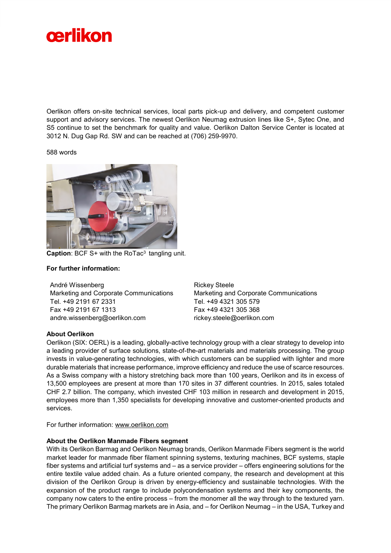

Oerlikon offers on-site technical services, local parts pick-up and delivery, and competent customer support and advisory services. The newest Oerlikon Neumag extrusion lines like S+, Sytec One, and S5 continue to set the benchmark for quality and value. Oerlikon Dalton Service Center is located at 3012 N. Dug Gap Rd. SW and can be reached at (706) 259-9970.

#### 588 words



**Caption: BCF S+ with the RoTac<sup>3</sup> tangling unit.** 

### **For further information:**

André Wissenberg Marketing and Corporate Communications Tel. +49 2191 67 2331 Fax +49 2191 67 1313 andre.wissenberg@oerlikon.com

Rickey Steele Marketing and Corporate Communications Tel. +49 4321 305 579 Fax +49 4321 305 368 rickey.steele@oerlikon.com

#### **About Oerlikon**

Oerlikon (SIX: OERL) is a leading, globally-active technology group with a clear strategy to develop into a leading provider of surface solutions, state-of-the-art materials and materials processing. The group invests in value-generating technologies, with which customers can be supplied with lighter and more durable materials that increase performance, improve efficiency and reduce the use of scarce resources. As a Swiss company with a history stretching back more than 100 years, Oerlikon and its in excess of 13,500 employees are present at more than 170 sites in 37 different countries. In 2015, sales totaled CHF 2.7 billion. The company, which invested CHF 103 million in research and development in 2015, employees more than 1,350 specialists for developing innovative and customer-oriented products and services.

For further information: www.oerlikon.com

#### **About the Oerlikon Manmade Fibers segment**

With its Oerlikon Barmag and Oerlikon Neumag brands, Oerlikon Manmade Fibers segment is the world market leader for manmade fiber filament spinning systems, texturing machines, BCF systems, staple fiber systems and artificial turf systems and – as a service provider – offers engineering solutions for the entire textile value added chain. As a future oriented company, the research and development at this division of the Oerlikon Group is driven by energy-efficiency and sustainable technologies. With the expansion of the product range to include polycondensation systems and their key components, the company now caters to the entire process – from the monomer all the way through to the textured yarn. The primary Oerlikon Barmag markets are in Asia, and – for Oerlikon Neumag – in the USA, Turkey and